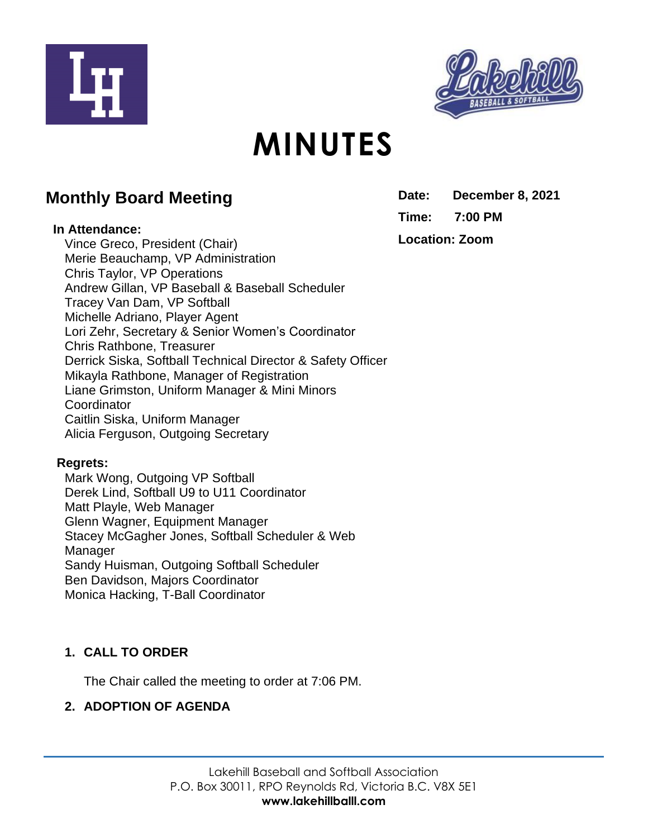



# **MINUTES**

# **Monthly Board Meeting**

#### **In Attendance:**

Vince Greco, President (Chair) Merie Beauchamp, VP Administration Chris Taylor, VP Operations Andrew Gillan, VP Baseball & Baseball Scheduler Tracey Van Dam, VP Softball Michelle Adriano, Player Agent Lori Zehr, Secretary & Senior Women's Coordinator Chris Rathbone, Treasurer Derrick Siska, Softball Technical Director & Safety Officer Mikayla Rathbone, Manager of Registration Liane Grimston, Uniform Manager & Mini Minors **Coordinator** Caitlin Siska, Uniform Manager Alicia Ferguson, Outgoing Secretary

#### **Regrets:**

Mark Wong, Outgoing VP Softball Derek Lind, Softball U9 to U11 Coordinator Matt Playle, Web Manager Glenn Wagner, Equipment Manager Stacey McGagher Jones, Softball Scheduler & Web Manager Sandy Huisman, Outgoing Softball Scheduler Ben Davidson, Majors Coordinator Monica Hacking, T-Ball Coordinator

# **1. CALL TO ORDER**

The Chair called the meeting to order at 7:06 PM.

# **2. ADOPTION OF AGENDA**

**Date: December 8, 2021 Time: 7:00 PM Location: Zoom**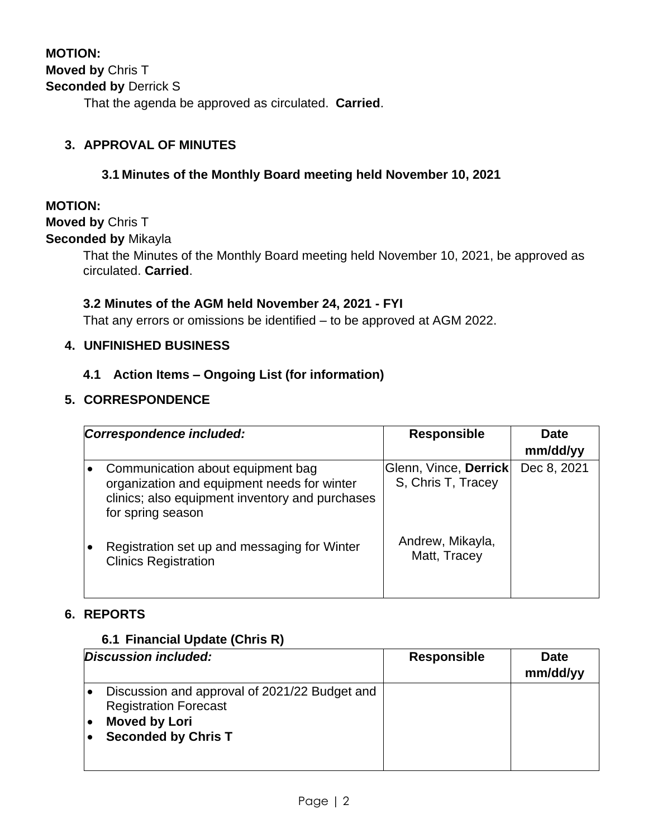That the agenda be approved as circulated. **Carried**.

### **3. APPROVAL OF MINUTES**

#### **3.1 Minutes of the Monthly Board meeting held November 10, 2021**

#### **MOTION:**

#### **Moved by** Chris T

#### **Seconded by** Mikayla

That the Minutes of the Monthly Board meeting held November 10, 2021, be approved as circulated. **Carried**.

#### **3.2 Minutes of the AGM held November 24, 2021 - FYI**

That any errors or omissions be identified – to be approved at AGM 2022.

#### **4. UNFINISHED BUSINESS**

#### **4.1 Action Items – Ongoing List (for information)**

#### **5. CORRESPONDENCE**

| Correspondence included: |                                                                                                                                                          | <b>Responsible</b>                          | <b>Date</b><br>mm/dd/yy |
|--------------------------|----------------------------------------------------------------------------------------------------------------------------------------------------------|---------------------------------------------|-------------------------|
|                          | Communication about equipment bag<br>organization and equipment needs for winter<br>clinics; also equipment inventory and purchases<br>for spring season | Glenn, Vince, Derrick<br>S, Chris T, Tracey | Dec 8, 2021             |
|                          | Registration set up and messaging for Winter<br><b>Clinics Registration</b>                                                                              | Andrew, Mikayla,<br>Matt, Tracey            |                         |

#### **6. REPORTS**

#### **6.1 Financial Update (Chris R)**

| Discussion included:                                                                                                                | <b>Responsible</b> | <b>Date</b><br>mm/dd/yy |
|-------------------------------------------------------------------------------------------------------------------------------------|--------------------|-------------------------|
| Discussion and approval of 2021/22 Budget and<br><b>Registration Forecast</b><br><b>Moved by Lori</b><br><b>Seconded by Chris T</b> |                    |                         |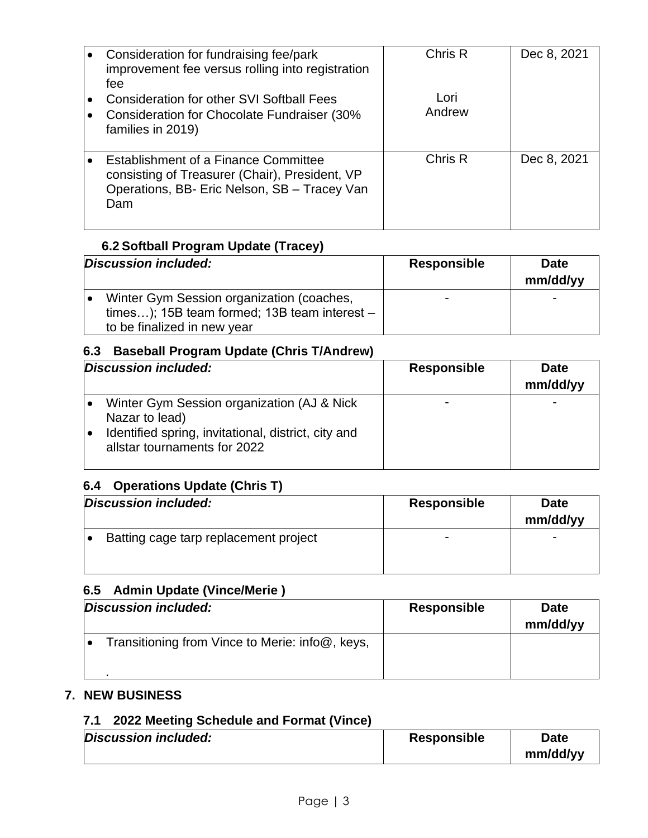| Consideration for fundraising fee/park<br>improvement fee versus rolling into registration<br>fee<br><b>Consideration for other SVI Softball Fees</b><br>Consideration for Chocolate Fundraiser (30%<br>families in 2019) | Chris R<br>Lori<br>Andrew | Dec 8, 2021 |
|---------------------------------------------------------------------------------------------------------------------------------------------------------------------------------------------------------------------------|---------------------------|-------------|
| Establishment of a Finance Committee<br>consisting of Treasurer (Chair), President, VP<br>Operations, BB- Eric Nelson, SB - Tracey Van<br>Dam                                                                             | Chris R                   | Dec 8, 2021 |

# **6.2 Softball Program Update (Tracey)**

| Discussion included:                           | <b>Responsible</b> | <b>Date</b><br>mm/dd/yy |
|------------------------------------------------|--------------------|-------------------------|
| Winter Gym Session organization (coaches,      |                    | -                       |
| times); 15B team formed; 13B team interest $-$ |                    |                         |
| to be finalized in new year                    |                    |                         |

# **6.3 Baseball Program Update (Chris T/Andrew)**

| Discussion included:                                                                                                 | <b>Responsible</b> | <b>Date</b><br>mm/dd/yy |
|----------------------------------------------------------------------------------------------------------------------|--------------------|-------------------------|
| Winter Gym Session organization (AJ & Nick)<br>Nazar to lead)<br>Identified spring, invitational, district, city and |                    |                         |
| allstar tournaments for 2022                                                                                         |                    |                         |

# **6.4 Operations Update (Chris T)**

| Discussion included:                  | <b>Responsible</b>       | <b>Date</b><br>mm/dd/yy |
|---------------------------------------|--------------------------|-------------------------|
| Batting cage tarp replacement project | $\overline{\phantom{0}}$ |                         |

# **6.5 Admin Update (Vince/Merie )**

| Discussion included:                            | <b>Responsible</b> | <b>Date</b><br>mm/dd/yy |
|-------------------------------------------------|--------------------|-------------------------|
| Transitioning from Vince to Merie: info@, keys, |                    |                         |

# **7. NEW BUSINESS**

#### **7.1 2022 Meeting Schedule and Format (Vince)**

| Discussion included: | <b>Responsible</b> | Date     |
|----------------------|--------------------|----------|
|                      |                    | mm/dd/yy |